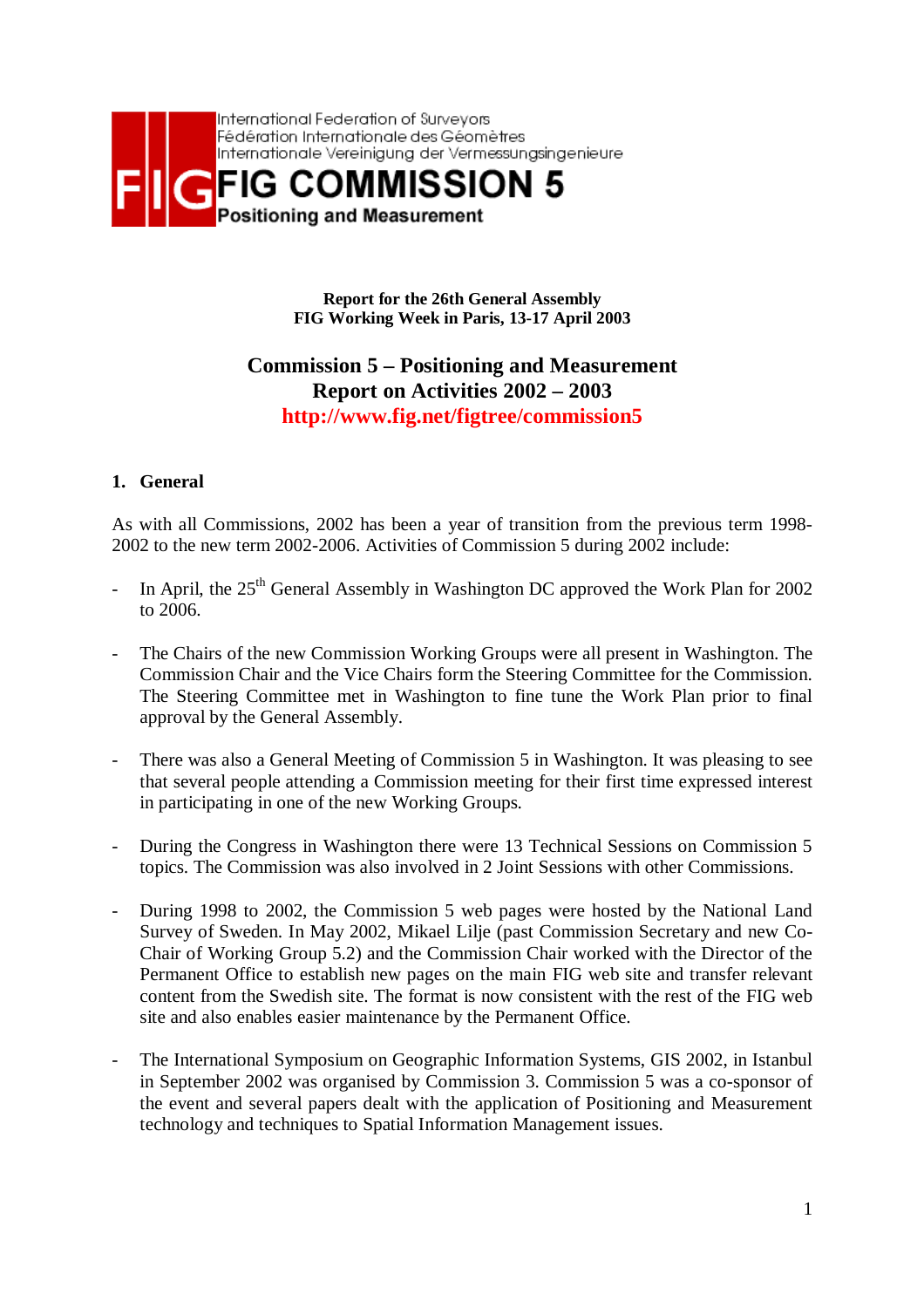

**Report for the 26th General Assembly FIG Working Week in Paris, 13-17 April 2003**

## **Commission 5 – Positioning and Measurement Report on Activities 2002 – 2003 http://www.fig.net/figtree/commission5**

## **1. General**

As with all Commissions, 2002 has been a year of transition from the previous term 1998- 2002 to the new term 2002-2006. Activities of Commission 5 during 2002 include:

- In April, the  $25<sup>th</sup>$  General Assembly in Washington DC approved the Work Plan for 2002 to 2006.
- The Chairs of the new Commission Working Groups were all present in Washington. The Commission Chair and the Vice Chairs form the Steering Committee for the Commission. The Steering Committee met in Washington to fine tune the Work Plan prior to final approval by the General Assembly.
- There was also a General Meeting of Commission 5 in Washington. It was pleasing to see that several people attending a Commission meeting for their first time expressed interest in participating in one of the new Working Groups.
- During the Congress in Washington there were 13 Technical Sessions on Commission 5 topics. The Commission was also involved in 2 Joint Sessions with other Commissions.
- During 1998 to 2002, the Commission 5 web pages were hosted by the National Land Survey of Sweden. In May 2002, Mikael Lilje (past Commission Secretary and new Co-Chair of Working Group 5.2) and the Commission Chair worked with the Director of the Permanent Office to establish new pages on the main FIG web site and transfer relevant content from the Swedish site. The format is now consistent with the rest of the FIG web site and also enables easier maintenance by the Permanent Office.
- The International Symposium on Geographic Information Systems, GIS 2002, in Istanbul in September 2002 was organised by Commission 3. Commission 5 was a co-sponsor of the event and several papers dealt with the application of Positioning and Measurement technology and techniques to Spatial Information Management issues.